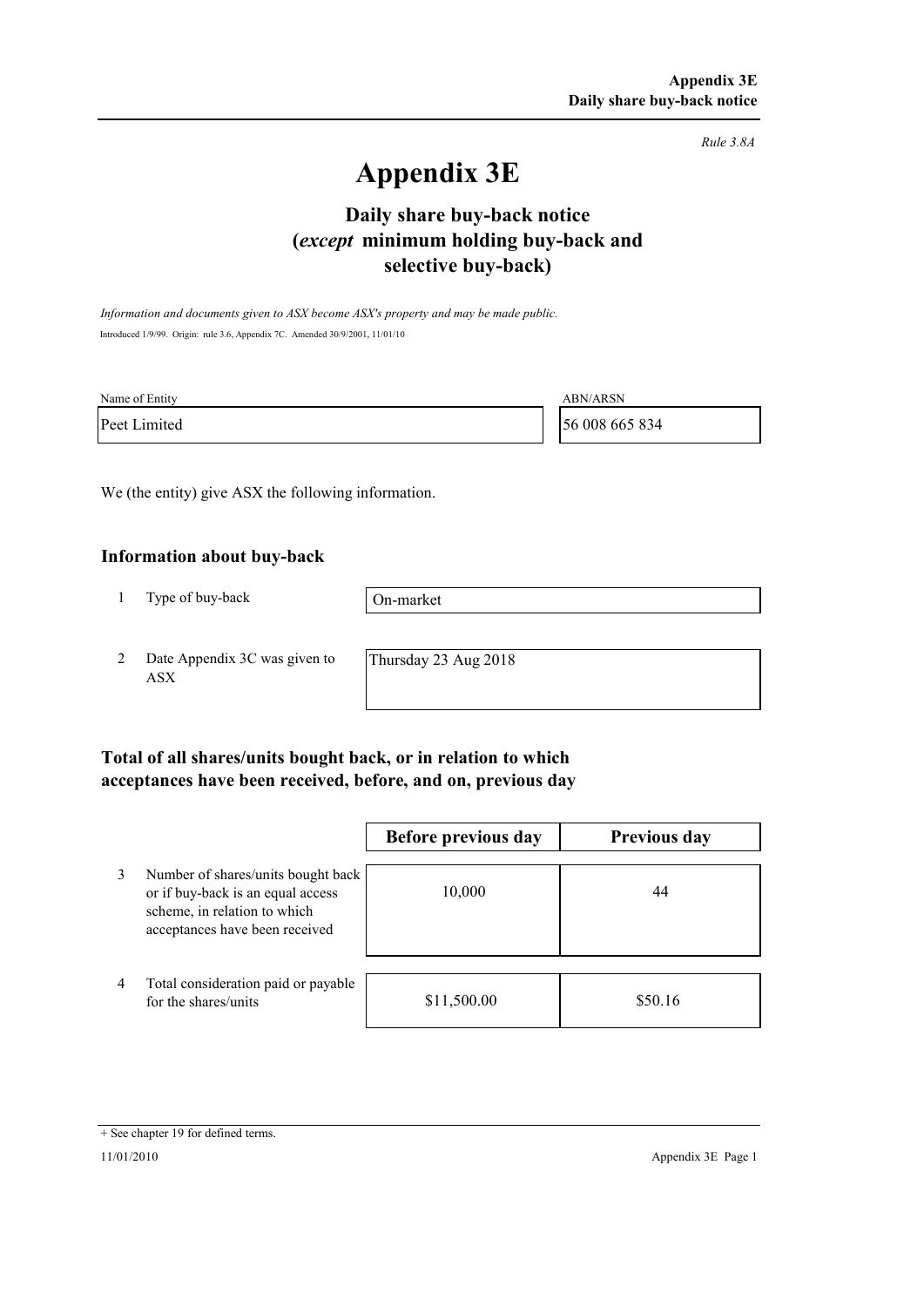*Rule 3.8A*

# **Appendix 3E**

# **selective buy-back) Daily share buy-back notice (***except* **minimum holding buy-back and**

*Information and documents given to ASX become ASX's property and may be made public.* Introduced 1/9/99. Origin: rule 3.6, Appendix 7C. Amended 30/9/2001, 11/01/10

| Name of Entity | <b>ABN/ARSN</b> |
|----------------|-----------------|
| Peet Limited   | 56 008 665 834  |

We (the entity) give ASX the following information.

#### **Information about buy-back**

1 Type of buy-back

On-market

2 Date Appendix 3C was given to ASX

Thursday 23 Aug 2018

### **Total of all shares/units bought back, or in relation to which acceptances have been received, before, and on, previous day**

|                |                                                                                                                                           | Before previous day | <b>Previous day</b> |
|----------------|-------------------------------------------------------------------------------------------------------------------------------------------|---------------------|---------------------|
| 3              | Number of shares/units bought back<br>or if buy-back is an equal access<br>scheme, in relation to which<br>acceptances have been received | 10,000              | 44                  |
| $\overline{4}$ | Total consideration paid or payable<br>for the shares/units                                                                               | \$11,500.00         | \$50.16             |

<sup>+</sup> See chapter 19 for defined terms.